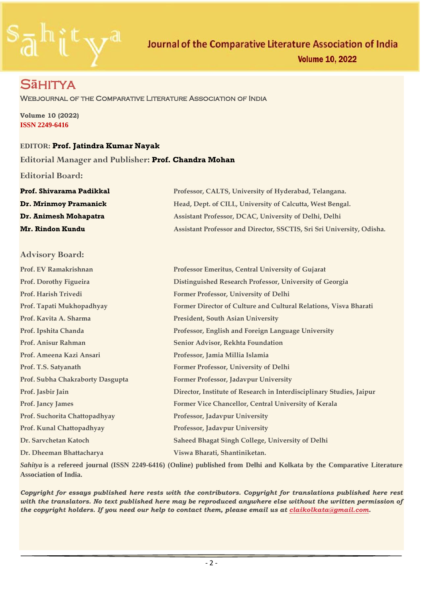

## S**ā**hitya

Webjournal of the Comparative Literature Association of India

**Volume 10 (2022) ISSN 2249-6416**

### **EDITOR: Prof. Jatindra Kumar Nayak**

#### **Editorial Manager and Publisher: Prof. Chandra Mohan**

**Editorial Board:**

| Prof. Shivarama Padikkal | Professor, CALTS, University of Hyderabad, Telangana.                 |  |
|--------------------------|-----------------------------------------------------------------------|--|
| Dr. Mrinmoy Pramanick    | Head, Dept. of CILL, University of Calcutta, West Bengal.             |  |
| Dr. Animesh Mohapatra    | Assistant Professor, DCAC, University of Delhi, Delhi                 |  |
| <b>Mr. Rindon Kundu</b>  | Assistant Professor and Director, SSCTIS, Sri Sri University, Odisha. |  |

## **Advisory Board:**

| Prof. EV Ramakrishnan            | Professor Emeritus, Central University of Gujarat                    |
|----------------------------------|----------------------------------------------------------------------|
| Prof. Dorothy Figueira           | Distinguished Research Professor, University of Georgia              |
| Prof. Harish Trivedi             | Former Professor, University of Delhi                                |
| Prof. Tapati Mukhopadhyay        | Former Director of Culture and Cultural Relations, Visva Bharati     |
| Prof. Kavita A. Sharma           | <b>President, South Asian University</b>                             |
| Prof. Ipshita Chanda             | Professor, English and Foreign Language University                   |
| Prof. Anisur Rahman              | Senior Advisor, Rekhta Foundation                                    |
| Prof. Ameena Kazi Ansari         | Professor, Jamia Millia Islamia                                      |
| Prof. T.S. Satyanath             | Former Professor, University of Delhi                                |
| Prof. Subha Chakraborty Dasgupta | Former Professor, Jadavpur University                                |
| Prof. Jasbir Jain                | Director, Institute of Research in Interdisciplinary Studies, Jaipur |
| <b>Prof. Jancy James</b>         | Former Vice Chancellor, Central University of Kerala                 |
| Prof. Suchorita Chattopadhyay    | Professor, Jadavpur University                                       |
| Prof. Kunal Chattopadhyay        | Professor, Jadavpur University                                       |
| Dr. Sarvchetan Katoch            | <b>Saheed Bhagat Singh College, University of Delhi</b>              |
| Dr. Dheeman Bhattacharya         | Viswa Bharati, Shantiniketan.                                        |

*Sahitya* **is a refereed journal (ISSN 2249-6416) (Online) published from Delhi and Kolkata by the Comparative Literature Association of India.** 

*Copyright for essays published here rests with the contributors. Copyright for translations published here rest with the translators. No text published here may be reproduced anywhere else without the written permission of the copyright holders. If you need our help to contact them, please email us at [claikolkata@gmail.com.](mailto:claikolkata@gmail.com)*